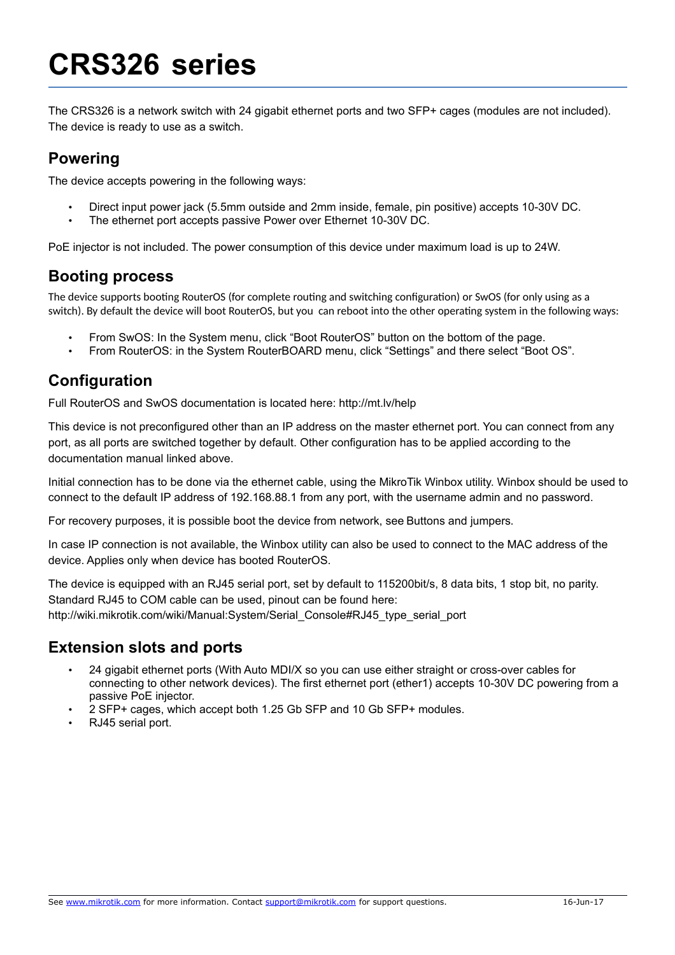# **CRS326 series**

The CRS326 is a network switch with 24 gigabit ethernet ports and two SFP+ cages (modules are not included). The device is ready to use as a switch.

#### **Powering**

The device accepts powering in the following ways:

- Direct input power jack (5.5mm outside and 2mm inside, female, pin positive) accepts 10-30V DC.
- The ethernet port accepts passive Power over Ethernet 10-30V DC.

PoE injector is not included. The power consumption of this device under maximum load is up to 24W.

### **Booting process**

The device supports booting RouterOS (for complete routing and switching configuration) or SwOS (for only using as a switch). By default the device will boot RouterOS, but you can reboot into the other operating system in the following ways:

- From SwOS: In the System menu, click "Boot RouterOS" button on the bottom of the page.
- From RouterOS: in the System RouterBOARD menu, click "Settings" and there select "Boot OS".

## **Configuration**

Full RouterOS and SwOS documentation is located here: http://mt.lv/help

This device is not preconfigured other than an IP address on the master ethernet port. You can connect from any port, as all ports are switched together by default. Other configuration has to be applied according to the documentation manual linked above.

Initial connection has to be done via the ethernet cable, using the MikroTik Winbox utility. Winbox should be used to connect to the default IP address of 192.168.88.1 from any port, with the username admin and no password.

For recovery purposes, it is possible boot the device from network, see [Buttons and jumpers.](#page-1-0)

In case IP connection is not available, the Winbox utility can also be used to connect to the MAC address of the device. Applies only when device has booted RouterOS.

The device is equipped with an RJ45 serial port, set by default to 115200bit/s, 8 data bits, 1 stop bit, no parity. Standard RJ45 to COM cable can be used, pinout can be found here: http://wiki.mikrotik.com/wiki/Manual:System/Serial\_Console#RJ45\_type\_serial\_port

## **Extension slots and ports**

- 24 gigabit ethernet ports (With Auto MDI/X so you can use either straight or cross-over cables for connecting to other network devices). The first ethernet port (ether1) accepts 10-30V DC powering from a passive PoE injector.
- 2 SFP+ cages, which accept both 1.25 Gb SFP and 10 Gb SFP+ modules.
- RJ45 serial port.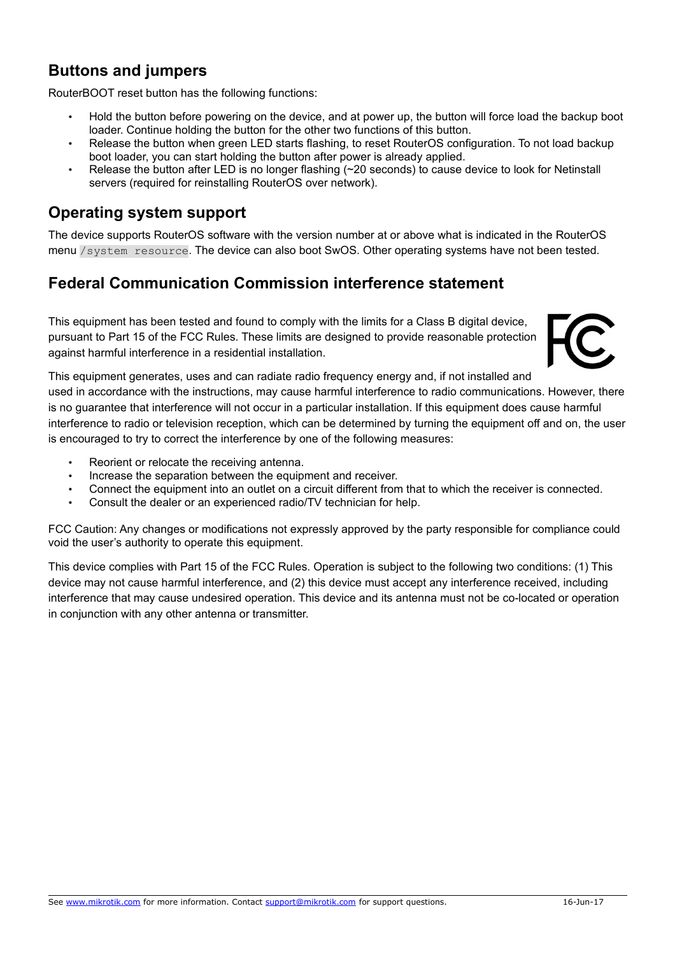## <span id="page-1-0"></span>**Buttons and jumpers**

RouterBOOT reset button has the following functions:

- Hold the button before powering on the device, and at power up, the button will force load the backup boot loader. Continue holding the button for the other two functions of this button.
- Release the button when green LED starts flashing, to reset RouterOS configuration. To not load backup boot loader, you can start holding the button after power is already applied.
- Release the button after LED is no longer flashing (~20 seconds) to cause device to look for Netinstall servers (required for reinstalling RouterOS over network).

### **Operating system support**

The device supports RouterOS software with the version number at or above what is indicated in the RouterOS menu /system resource. The device can also boot SwOS. Other operating systems have not been tested.

### **Federal Communication Commission interference statement**

This equipment has been tested and found to comply with the limits for a Class B digital device, pursuant to Part 15 of the FCC Rules. These limits are designed to provide reasonable protection against harmful interference in a residential installation.



This equipment generates, uses and can radiate radio frequency energy and, if not installed and used in accordance with the instructions, may cause harmful interference to radio communications. However, there is no guarantee that interference will not occur in a particular installation. If this equipment does cause harmful interference to radio or television reception, which can be determined by turning the equipment off and on, the user is encouraged to try to correct the interference by one of the following measures:

- Reorient or relocate the receiving antenna.
- Increase the separation between the equipment and receiver.
- Connect the equipment into an outlet on a circuit different from that to which the receiver is connected.
- Consult the dealer or an experienced radio/TV technician for help.

FCC Caution: Any changes or modifications not expressly approved by the party responsible for compliance could void the user's authority to operate this equipment.

This device complies with Part 15 of the FCC Rules. Operation is subject to the following two conditions: (1) This device may not cause harmful interference, and (2) this device must accept any interference received, including interference that may cause undesired operation. This device and its antenna must not be co-located or operation in conjunction with any other antenna or transmitter.